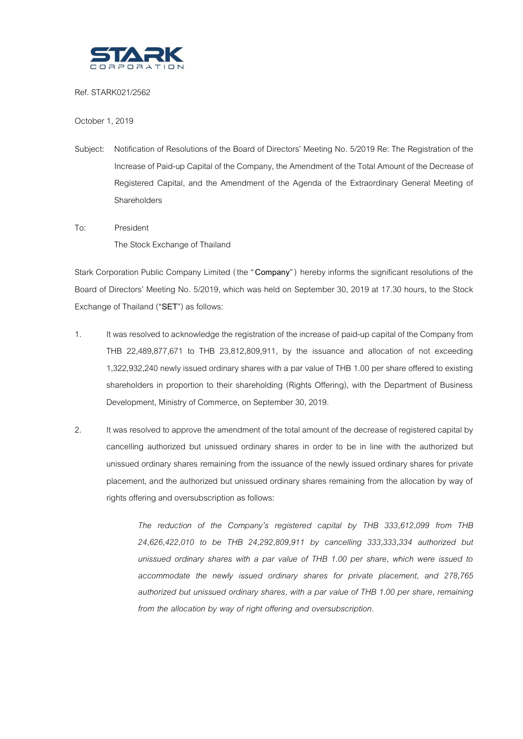

Ref. STARK021/2562

October 1, 2019

- Subject: Notification of Resolutions of the Board of Directors' Meeting No. 5/2019 Re: The Registration of the Increase of Paid-up Capital of the Company, the Amendment of the Total Amount of the Decrease of Registered Capital, and the Amendment of the Agenda of the Extraordinary General Meeting of Shareholders
- To: President The Stock Exchange of Thailand

Stark Corporation Public Company Limited (the "**Company**" ) hereby informs the significant resolutions of the Board of Directors' Meeting No. 5/2019, which was held on September 30, 2019 at 17.30 hours, to the Stock Exchange of Thailand ("**SET**") as follows:

- 1. It was resolved to acknowledge the registration of the increase of paid-up capital of the Company from THB 22,489,877,671 to THB 23,812,809,911, by the issuance and allocation of not exceeding 1,322,932,240 newly issued ordinary shares with a par value of THB 1.00 per share offered to existing shareholders in proportion to their shareholding (Rights Offering), with the Department of Business Development, Ministry of Commerce, on September 30, 2019.
- 2. It was resolved to approve the amendment of the total amount of the decrease of registered capital by cancelling authorized but unissued ordinary shares in order to be in line with the authorized but unissued ordinary shares remaining from the issuance of the newly issued ordinary shares for private placement, and the authorized but unissued ordinary shares remaining from the allocation by way of rights offering and oversubscription as follows:

*The reduction of the Company's registered capital by THB 333,612,099 from THB 24,626,422,010 to be THB 24,292,809,911 by cancelling 333,333,334 authorized but unissued ordinary shares with a par value of THB 1.00 per share, which were issued to accommodate the newly issued ordinary shares for private placement, and 278,765 authorized but unissued ordinary shares, with a par value of THB 1.00 per share, remaining from the allocation by way of right offering and oversubscription.*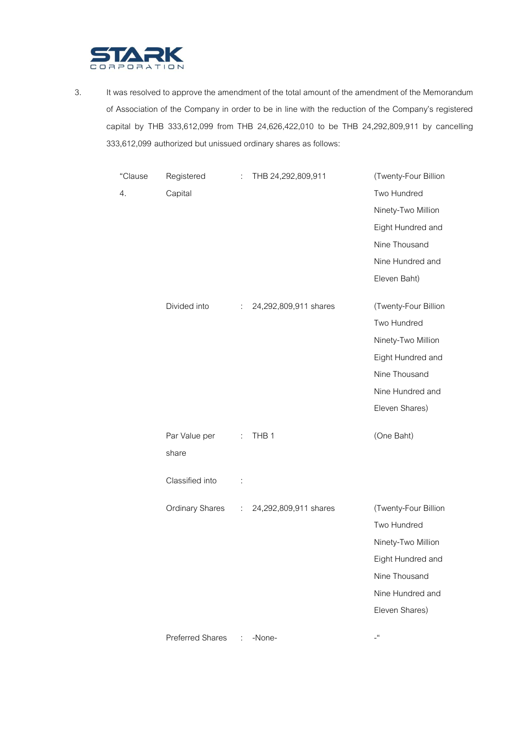

4.

3. It was resolved to approve the amendment of the total amount of the amendment of the Memorandum of Association of the Company in order to be in line with the reduction of the Company's registered capital by THB 333,612,099 from THB 24,626,422,010 to be THB 24,292,809,911 by cancelling 333,612,099 authorized but unissued ordinary shares as follows:

| "Clause | Registered             | $\ddot{\phantom{0}}$ | THB 24,292,809,911    | (Twenty-Four Billion |
|---------|------------------------|----------------------|-----------------------|----------------------|
| 4.      | Capital                |                      |                       | Two Hundred          |
|         |                        |                      |                       | Ninety-Two Million   |
|         |                        |                      |                       | Eight Hundred and    |
|         |                        |                      |                       | Nine Thousand        |
|         |                        |                      |                       | Nine Hundred and     |
|         |                        |                      |                       | Eleven Baht)         |
|         |                        |                      |                       |                      |
|         | Divided into           | ÷                    | 24,292,809,911 shares | (Twenty-Four Billion |
|         |                        |                      |                       | Two Hundred          |
|         |                        |                      |                       | Ninety-Two Million   |
|         |                        |                      |                       | Eight Hundred and    |
|         |                        |                      |                       | Nine Thousand        |
|         |                        |                      |                       | Nine Hundred and     |
|         |                        |                      |                       | Eleven Shares)       |
|         | Par Value per          | $\mathcal{L}$        | THB <sub>1</sub>      | (One Baht)           |
|         | share                  |                      |                       |                      |
|         |                        |                      |                       |                      |
|         | Classified into        | $\ddot{\phantom{a}}$ |                       |                      |
|         | <b>Ordinary Shares</b> | ÷.                   | 24,292,809,911 shares | (Twenty-Four Billion |
|         |                        |                      |                       | Two Hundred          |
|         |                        |                      |                       | Ninety-Two Million   |
|         |                        |                      |                       | Eight Hundred and    |
|         |                        |                      |                       | Nine Thousand        |
|         |                        |                      |                       | Nine Hundred and     |
|         |                        |                      |                       | Eleven Shares)       |
|         | Preferred Shares       | ÷                    | -None-                | $\cdot$              |
|         |                        |                      |                       |                      |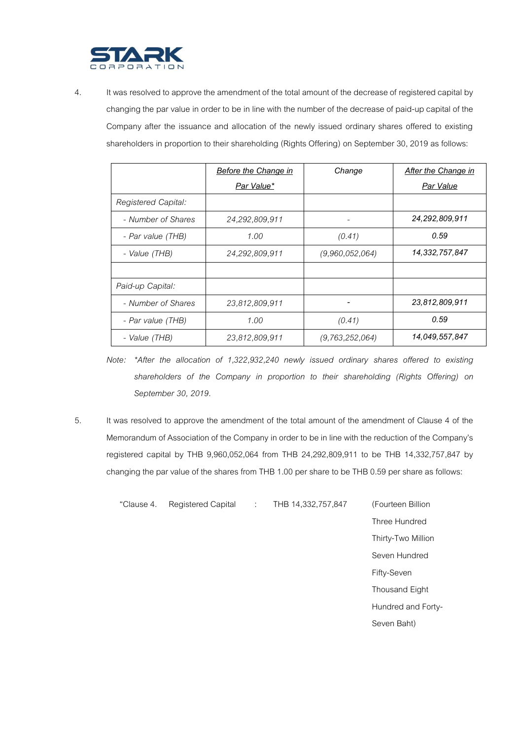

4. It was resolved to approve the amendment of the total amountof the decrease of registered capital by changing the par value in order to be in line with the number of the decrease of paid-up capital of the Company after the issuance and allocation of the newly issued ordinary shares offered to existing shareholders in proportion to their shareholding (Rights Offering) on September 30, 2019 as follows:

|                     | <b>Before the Change in</b> | Change          | <b>After the Change in</b> |
|---------------------|-----------------------------|-----------------|----------------------------|
|                     | Par Value*                  |                 | Par Value                  |
| Registered Capital: |                             |                 |                            |
| - Number of Shares  | 24,292,809,911              |                 | 24,292,809,911             |
| - Par value (THB)   | 1.00                        | (0.41)          | 0.59                       |
| - Value (THB)       | 24,292,809,911              | (9,960,052,064) | 14,332,757,847             |
|                     |                             |                 |                            |
| Paid-up Capital:    |                             |                 |                            |
| - Number of Shares  | 23.812.809.911              |                 | 23,812,809,911             |
| - Par value (THB)   | 1.00                        | (0.41)          | 0.59                       |
| - Value (THB)       | 23,812,809,911              | (9,763,252,064) | 14,049,557,847             |

*Note: \*After the allocation of 1,322,932,240 newly issued ordinary shares offered to existing shareholders of the Company in proportion to their shareholding (Rights Offering) on September 30, 2019.*

5. It was resolved to approve the amendment of the total amount of the amendment of Clause 4 of the Memorandum of Association of the Company in order to be in line with the reduction of the Company's registered capital by THB 9,960,052,064 from THB 24,292,809,911 to be THB 14,332,757,847 by changing the par value of the shares from THB 1.00 per share to be THB 0.59 per share as follows:

"Clause 4. Registered Capital : THB 14,332,757,847 (Fourteen Billion

Three Hundred Thirty-Two Million Seven Hundred Fifty-Seven Thousand Eight Hundred and Forty-Seven Baht)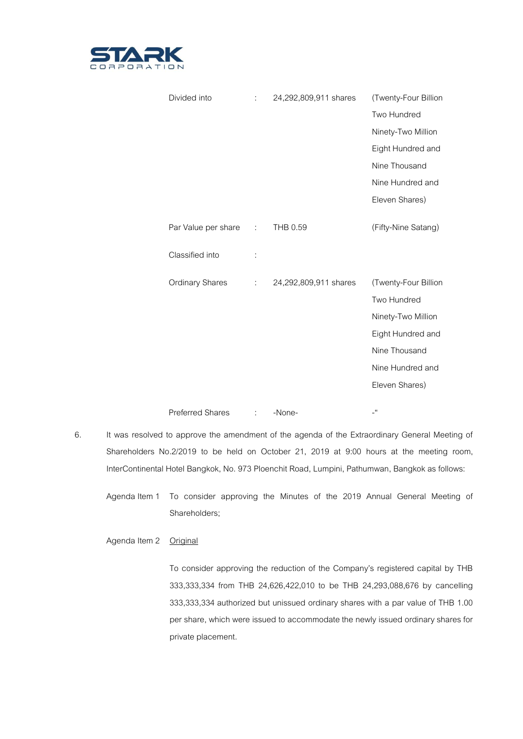

| Divided into            | ÷  | 24,292,809,911 shares | (Twenty-Four Billion |
|-------------------------|----|-----------------------|----------------------|
|                         |    |                       | Two Hundred          |
|                         |    |                       | Ninety-Two Million   |
|                         |    |                       | Eight Hundred and    |
|                         |    |                       | Nine Thousand        |
|                         |    |                       | Nine Hundred and     |
|                         |    |                       | Eleven Shares)       |
| Par Value per share     | ÷  | THB 0.59              | (Fifty-Nine Satang)  |
| Classified into         | İ. |                       |                      |
| <b>Ordinary Shares</b>  | ÷  | 24,292,809,911 shares | (Twenty-Four Billion |
|                         |    |                       | Two Hundred          |
|                         |    |                       | Ninety-Two Million   |
|                         |    |                       | Eight Hundred and    |
|                         |    |                       | Nine Thousand        |
|                         |    |                       | Nine Hundred and     |
|                         |    |                       | Eleven Shares)       |
| <b>Preferred Shares</b> | ÷  | -None-                | -"                   |

- 6. It was resolved to approve the amendment of the agenda of the Extraordinary General Meeting of Shareholders No.2/2019 to be held on October 21, 2019 at 9:00 hours at the meeting room, InterContinental Hotel Bangkok, No. 973 Ploenchit Road, Lumpini, Pathumwan, Bangkokas follows:
	- Agenda Item 1 To consider approving the Minutes of the 2019 Annual General Meeting of Shareholders;

Agenda Item 2 Original

To consider approving the reduction of the Company's registered capital by THB 333,333,334 from THB 24,626,422,010 to be THB 24,293,088,676 by cancelling 333,333,334 authorized but unissued ordinary shares with a par value of THB 1.00 per share, which were issued to accommodate the newly issued ordinary shares for private placement.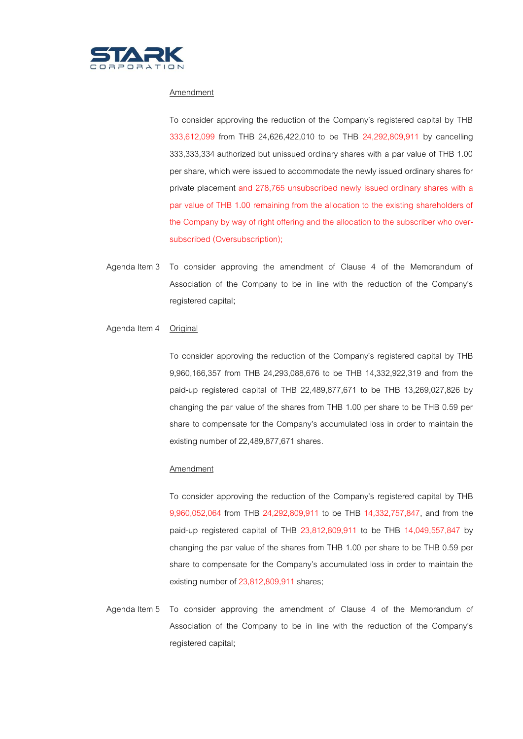

## Amendment

To consider approving the reduction of the Company's registered capital by THB 333,612,099 from THB 24,626,422,010 to be THB 24,292,809,911 by cancelling 333,333,334 authorized but unissued ordinary shares with a par value of THB 1.00 per share, which were issued to accommodate the newly issued ordinary shares for private placement and 278,765 unsubscribed newly issued ordinary shares with a par value of THB 1.00 remaining from the allocation to the existing shareholders of the Company by way of right offering and the allocation to the subscriber who oversubscribed (Oversubscription);

Agenda Item 3 To consider approving the amendment of Clause 4 of the Memorandum of Association of the Company to be in line with the reduction of the Company's registered capital;

## Agenda Item 4 Original

To consider approving the reduction of the Company's registered capital by THB 9,960,166,357 from THB 24,293,088,676 to be THB 14,332,922,319 and from the paid-up registered capital of THB 22,489,877,671 to be THB 13,269,027,826 by changing the par value of the shares from THB 1.00 per share to be THB 0.59 per share to compensate for the Company's accumulated loss in order to maintain the existing number of 22,489,877,671 shares.

## Amendment

To consider approving the reduction of the Company's registered capital by THB 9,960,052,064 from THB 24,292,809,911 to be THB 14,332,757,847, and from the paid-up registered capital of THB 23,812,809,911 to be THB 14,049,557,847 by changing the par value of the shares from THB 1.00 per share to be THB 0.59 per share to compensate for the Company's accumulated loss in order to maintain the existing number of 23,812,809,911 shares;

Agenda Item 5 To consider approving the amendment of Clause 4 of the Memorandum of Association of the Company to be in line with the reduction of the Company's registered capital;